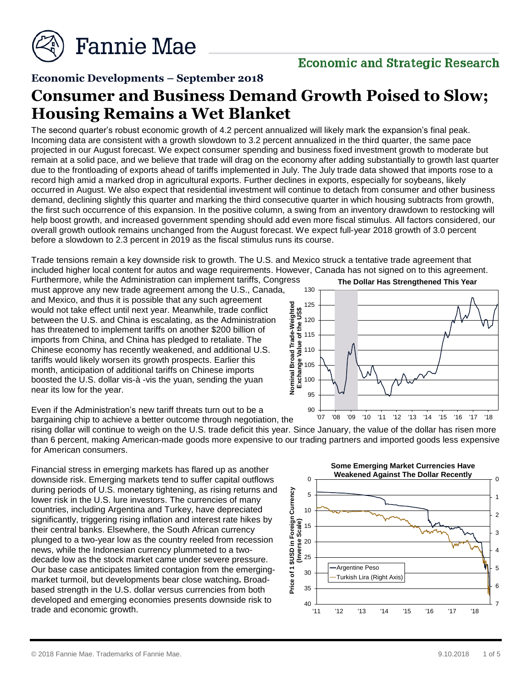

## **Economic Developments – September 2018**

# **Consumer and Business Demand Growth Poised to Slow; Housing Remains a Wet Blanket**

The second quarter's robust economic growth of 4.2 percent annualized will likely mark the expansion's final peak. Incoming data are consistent with a growth slowdown to 3.2 percent annualized in the third quarter, the same pace projected in our August forecast. We expect consumer spending and business fixed investment growth to moderate but remain at a solid pace, and we believe that trade will drag on the economy after adding substantially to growth last quarter due to the frontloading of exports ahead of tariffs implemented in July. The July trade data showed that imports rose to a record high amid a marked drop in agricultural exports. Further declines in exports, especially for soybeans, likely occurred in August. We also expect that residential investment will continue to detach from consumer and other business demand, declining slightly this quarter and marking the third consecutive quarter in which housing subtracts from growth, the first such occurrence of this expansion. In the positive column, a swing from an inventory drawdown to restocking will help boost growth, and increased government spending should add even more fiscal stimulus. All factors considered, our overall growth outlook remains unchanged from the August forecast. We expect full-year 2018 growth of 3.0 percent before a slowdown to 2.3 percent in 2019 as the fiscal stimulus runs its course.

Trade tensions remain a key downside risk to growth. The U.S. and Mexico struck a tentative trade agreement that included higher local content for autos and wage requirements. However, Canada has not signed on to this agreement.

Furthermore, while the Administration can implement tariffs, Congress must approve any new trade agreement among the U.S., Canada, and Mexico, and thus it is possible that any such agreement would not take effect until next year. Meanwhile, trade conflict between the U.S. and China is escalating, as the Administration has threatened to implement tariffs on another \$200 billion of imports from China, and China has pledged to retaliate. The Chinese economy has recently weakened, and additional U.S. tariffs would likely worsen its growth prospects. Earlier this month, anticipation of additional tariffs on Chinese imports boosted the U.S. dollar vis-à -vis the yuan, sending the yuan near its low for the year.

**The Dollar Has Strengthened This Year**



Even if the Administration's new tariff threats turn out to be a bargaining chip to achieve a better outcome through negotiation, the

rising dollar will continue to weigh on the U.S. trade deficit this year. Since January, the value of the dollar has risen more than 6 percent, making American-made goods more expensive to our trading partners and imported goods less expensive for American consumers.

Financial stress in emerging markets has flared up as another downside risk. Emerging markets tend to suffer capital outflows during periods of U.S. monetary tightening, as rising returns and lower risk in the U.S. lure investors. The currencies of many countries, including Argentina and Turkey, have depreciated significantly, triggering rising inflation and interest rate hikes by their central banks. Elsewhere, the South African currency plunged to a two-year low as the country reeled from recession news, while the Indonesian currency plummeted to a twodecade low as the stock market came under severe pressure. Our base case anticipates limited contagion from the emergingmarket turmoil, but developments bear close watching**.** Broadbased strength in the U.S. dollar versus currencies from both developed and emerging economies presents downside risk to trade and economic growth.

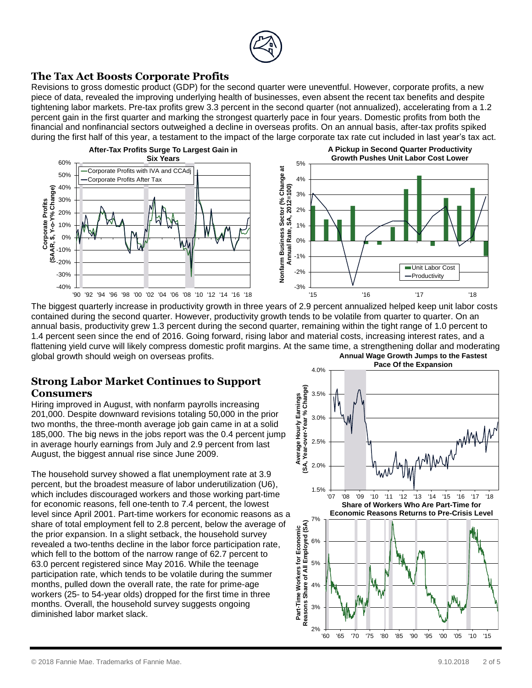

## **The Tax Act Boosts Corporate Profits**

Revisions to gross domestic product (GDP) for the second quarter were uneventful. However, corporate profits, a new piece of data, revealed the improving underlying health of businesses, even absent the recent tax benefits and despite tightening labor markets. Pre-tax profits grew 3.3 percent in the second quarter (not annualized), accelerating from a 1.2 percent gain in the first quarter and marking the strongest quarterly pace in four years. Domestic profits from both the financial and nonfinancial sectors outweighed a decline in overseas profits. On an annual basis, after-tax profits spiked during the first half of this year, a testament to the impact of the large corporate tax rate cut included in last year's tax act.



The biggest quarterly increase in productivity growth in three years of 2.9 percent annualized helped keep unit labor costs contained during the second quarter. However, productivity growth tends to be volatile from quarter to quarter. On an annual basis, productivity grew 1.3 percent during the second quarter, remaining within the tight range of 1.0 percent to 1.4 percent seen since the end of 2016. Going forward, rising labor and material costs, increasing interest rates, and a flattening yield curve will likely compress domestic profit margins. At the same time, a strengthening dollar and moderating global growth should weigh on overseas profits. **Annual Wage Growth Jumps to the Fastest** 

#### **Strong Labor Market Continues to Support Consumers**

Hiring improved in August, with nonfarm payrolls increasing 201,000. Despite downward revisions totaling 50,000 in the prior two months, the three-month average job gain came in at a solid 185,000. The big news in the jobs report was the 0.4 percent jump in average hourly earnings from July and 2.9 percent from last August, the biggest annual rise since June 2009.

The household survey showed a flat unemployment rate at 3.9 percent, but the broadest measure of labor underutilization (U6), which includes discouraged workers and those working part-time for economic reasons, fell one-tenth to 7.4 percent, the lowest level since April 2001. Part-time workers for economic reasons as a share of total employment fell to 2.8 percent, below the average of the prior expansion. In a slight setback, the household survey revealed a two-tenths decline in the labor force participation rate, which fell to the bottom of the narrow range of 62.7 percent to 63.0 percent registered since May 2016. While the teenage participation rate, which tends to be volatile during the summer months, pulled down the overall rate, the rate for prime-age workers (25- to 54-year olds) dropped for the first time in three months. Overall, the household survey suggests ongoing diminished labor market slack.

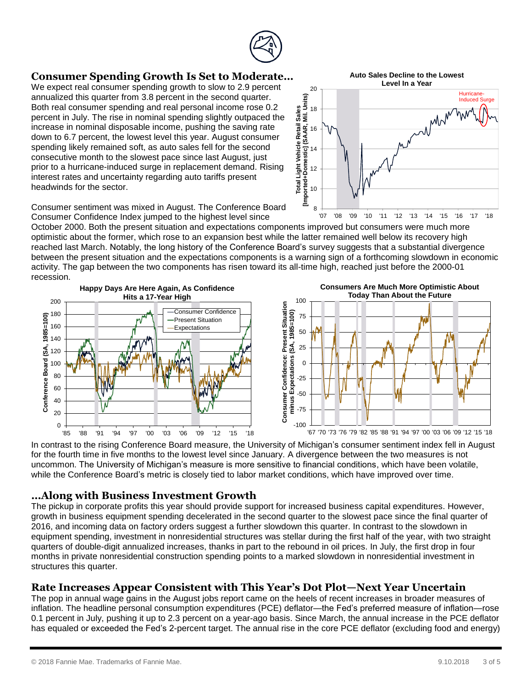

# **Consumer Spending Growth Is Set to Moderate…**

We expect real consumer spending growth to slow to 2.9 percent annualized this quarter from 3.8 percent in the second quarter. Both real consumer spending and real personal income rose 0.2 percent in July. The rise in nominal spending slightly outpaced the increase in nominal disposable income, pushing the saving rate down to 6.7 percent, the lowest level this year. August consumer spending likely remained soft, as auto sales fell for the second consecutive month to the slowest pace since last August, just prior to a hurricane-induced surge in replacement demand. Rising interest rates and uncertainty regarding auto tariffs present headwinds for the sector.

**Auto Sales Decline to the Lowest Level In a Year**



Consumer sentiment was mixed in August. The Conference Board Consumer Confidence Index jumped to the highest level since

October 2000. Both the present situation and expectations components improved but consumers were much more optimistic about the former, which rose to an expansion best while the latter remained well below its recovery high reached last March. Notably, the long history of the Conference Board's survey suggests that a substantial divergence between the present situation and the expectations components is a warning sign of a forthcoming slowdown in economic activity. The gap between the two components has risen toward its all-time high, reached just before the 2000-01 recession.



In contrast to the rising Conference Board measure, the University of Michigan's consumer sentiment index fell in August for the fourth time in five months to the lowest level since January. A divergence between the two measures is not uncommon. The University of Michigan's measure is more sensitive to financial conditions, which have been volatile, while the Conference Board's metric is closely tied to labor market conditions, which have improved over time.

# **…Along with Business Investment Growth**

The pickup in corporate profits this year should provide support for increased business capital expenditures. However, growth in business equipment spending decelerated in the second quarter to the slowest pace since the final quarter of 2016, and incoming data on factory orders suggest a further slowdown this quarter. In contrast to the slowdown in equipment spending, investment in nonresidential structures was stellar during the first half of the year, with two straight quarters of double-digit annualized increases, thanks in part to the rebound in oil prices. In July, the first drop in four months in private nonresidential construction spending points to a marked slowdown in nonresidential investment in structures this quarter.

# **Rate Increases Appear Consistent with This Year's Dot Plot—Next Year Uncertain**

The pop in annual wage gains in the August jobs report came on the heels of recent increases in broader measures of inflation. The headline personal consumption expenditures (PCE) deflator—the Fed's preferred measure of inflation—rose 0.1 percent in July, pushing it up to 2.3 percent on a year-ago basis. Since March, the annual increase in the PCE deflator has equaled or exceeded the Fed's 2-percent target. The annual rise in the core PCE deflator (excluding food and energy)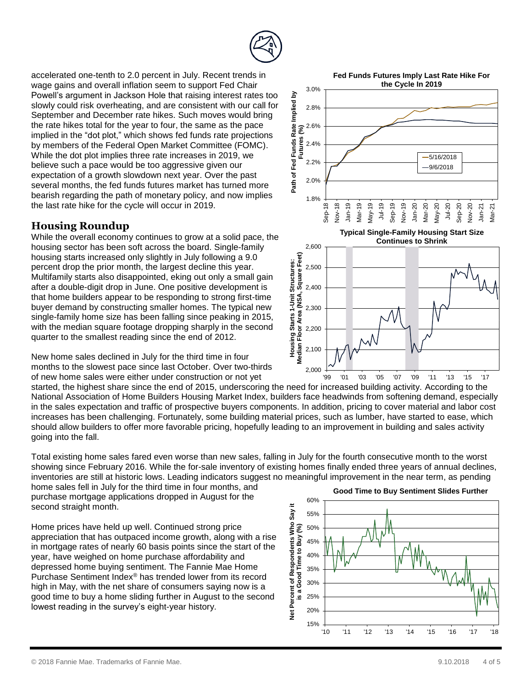

accelerated one-tenth to 2.0 percent in July. Recent trends in wage gains and overall inflation seem to support Fed Chair Powell's argument in Jackson Hole that raising interest rates too slowly could risk overheating, and are consistent with our call for September and December rate hikes. Such moves would bring the rate hikes total for the year to four, the same as the pace implied in the "dot plot," which shows fed funds rate projections by members of the Federal Open Market Committee (FOMC). While the dot plot implies three rate increases in 2019, we believe such a pace would be too aggressive given our expectation of a growth slowdown next year. Over the past several months, the fed funds futures market has turned more bearish regarding the path of monetary policy, and now implies the last rate hike for the cycle will occur in 2019.

# **Housing Roundup**

While the overall economy continues to grow at a solid pace, the housing sector has been soft across the board. Single-family housing starts increased only slightly in July following a 9.0 percent drop the prior month, the largest decline this year. Multifamily starts also disappointed, eking out only a small gain after a double-digit drop in June. One positive development is that home builders appear to be responding to strong first-time buyer demand by constructing smaller homes. The typical new single-family home size has been falling since peaking in 2015, with the median square footage dropping sharply in the second quarter to the smallest reading since the end of 2012.

New home sales declined in July for the third time in four months to the slowest pace since last October. Over two-thirds of new home sales were either under construction or not yet

started, the highest share since the end of 2015, underscoring the need for increased building activity. According to the National Association of Home Builders Housing Market Index, builders face headwinds from softening demand, especially in the sales expectation and traffic of prospective buyers components. In addition, pricing to cover material and labor cost increases has been challenging. Fortunately, some building material prices, such as lumber, have started to ease, which should allow builders to offer more favorable pricing, hopefully leading to an improvement in building and sales activity going into the fall. '99 '01 '03 '05 '07 '09 '11 '13 '15 '17

2,000

2,100

Total existing home sales fared even worse than new sales, falling in July for the fourth consecutive month to the worst showing since February 2016. While the for-sale inventory of existing homes finally ended three years of annual declines, inventories are still at historic lows. Leading indicators suggest no meaningful improvement in the near term, as pending

home sales fell in July for the third time in four months, and purchase mortgage applications dropped in August for the second straight month.

Home prices have held up well. Continued strong price appreciation that has outpaced income growth, along with a rise in mortgage rates of nearly 60 basis points since the start of the year, have weighed on home purchase affordability and depressed home buying sentiment. The Fannie Mae Home Purchase Sentiment Index® has trended lower from its record high in May, with the net share of consumers saying now is a good time to buy a home sliding further in August to the second lowest reading in the survey's eight-year history.